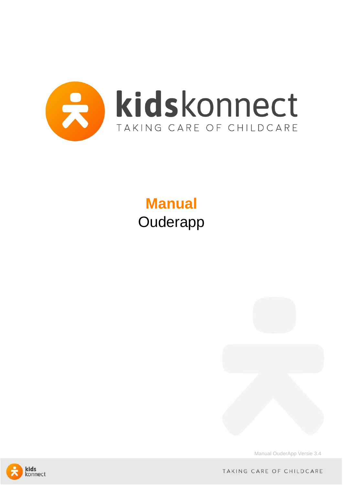

# **Manual Ouderapp**



Manual OuderApp Versie 3.4



TAKING CARE OF CHILDCARE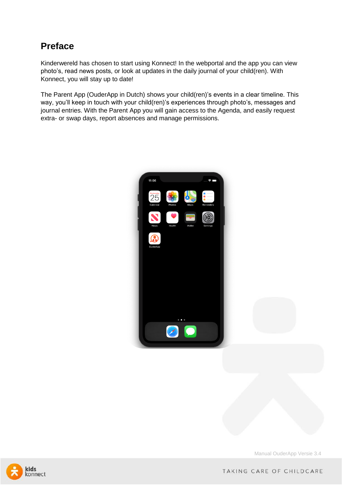## **Preface**

Kinderwereld has chosen to start using Konnect! In the webportal and the app you can view photo's, read news posts, or look at updates in the daily journal of your child(ren). With Konnect, you will stay up to date!

The Parent App (OuderApp in Dutch) shows your child(ren)'s events in a clear timeline. This way, you'll keep in touch with your child(ren)'s experiences through photo's, messages and journal entries. With the Parent App you will gain access to the Agenda, and easily request extra- or swap days, report absences and manage permissions.



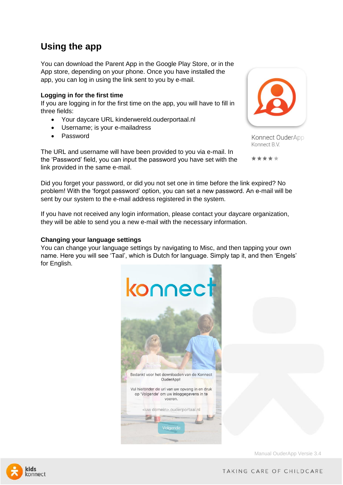## **Using the app**

You can download the Parent App in the Google Play Store, or in the App store, depending on your phone. Once you have installed the app, you can log in using the link sent to you by e-mail.

### **Logging in for the first time**

If you are logging in for the first time on the app, you will have to fill in three fields:

- Your daycare URL kinderwereld.ouderportaal.nl
- Username; is your e-mailadress
- Password

The URL and username will have been provided to you via e-mail. In the 'Password' field, you can input the password you have set with the link provided in the same e-mail.

Did you forget your password, or did you not set one in time before the link expired? No problem! With the 'forgot password' option, you can set a new password. An e-mail will be sent by our system to the e-mail address registered in the system.

If you have not received any login information, please contact your daycare organization, they will be able to send you a new e-mail with the necessary information.

### **Changing your language settings**

You can change your language settings by navigating to Misc, and then tapping your own name. Here you will see 'Taal', which is Dutch for language. Simply tap it, and then 'Engels' for English.





Konnect OuderApp Konnect B.V.

\*\*\*\*



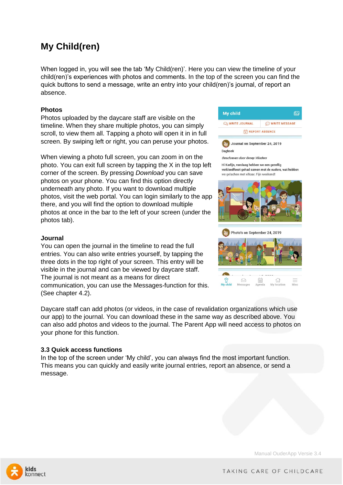# **My Child(ren)**

When logged in, you will see the tab 'My Child(ren)'. Here you can view the timeline of your child(ren)'s experiences with photos and comments. In the top of the screen you can find the quick buttons to send a message, write an entry into your child(ren)'s journal, of report an absence.

### **Photos**

Photos uploaded by the daycare staff are visible on the timeline. When they share multiple photos, you can simply scroll, to view them all. Tapping a photo will open it in in full screen. By swiping left or right, you can peruse your photos.

When viewing a photo full screen, you can zoom in on the photo. You can exit full screen by tapping the X in the top left corner of the screen. By pressing *Download* you can save photos on your phone. You can find this option directly underneath any photo. If you want to download multiple photos, visit the web portal. You can login similarly to the app there, and you will find the option to download multiple photos at once in the bar to the left of your screen (under the photos tab).

### **Journal**

You can open the journal in the timeline to read the full entries. You can also write entries yourself, by tapping the three dots in the top right of your screen. This entry will be visible in the journal and can be viewed by daycare staff. The journal is not meant as a means for direct communication, you can use the Messages-function for this. (See chapter 4.2).

Daycare staff can add photos (or videos, in the case of revalidation organizations which use our app) to the journal. You can download these in the same way as described above. You can also add photos and videos to the journal. The Parent App will need access to photos on your phone for this function.

### **3.3 Quick access functions**

In the top of the screen under 'My child', you can always find the most important function. This means you can quickly and easily write journal entries, report an absence, or send a message.



Geschreven door Groep Vlinders

Hi Karlijn, vandaag hebben we een gezellig verkleedfeest gehad samen met de ouders, wat hebben we gelachen met elkaar. Fijn weekend!



Photo's on September 24, 2019



Manual OuderApp Versie 3.4



TAKING CARE OF CHILDCARE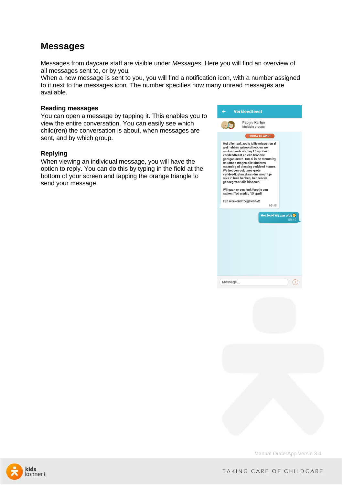### **Messages**

Messages from daycare staff are visible under *Messages.* Here you will find an overview of all messages sent to, or by you.

When a new message is sent to you, you will find a notification icon, with a number assigned to it next to the messages icon. The number specifies how many unread messages are available.

### **Reading messages**

You can open a message by tapping it. This enables you to view the entire conversation. You can easily see which child(ren) the conversation is about, when messages are sent, and by which group.

#### **Replying**

When viewing an individual message, you will have the option to reply. You can do this by typing in the field at the bottom of your screen and tapping the orange triangle to send your message.

| ←       | <b>Verkleedfeest</b>                                                                                                                                                                                                                                                                                                                                                                      |                                      |
|---------|-------------------------------------------------------------------------------------------------------------------------------------------------------------------------------------------------------------------------------------------------------------------------------------------------------------------------------------------------------------------------------------------|--------------------------------------|
|         | Pepijn, Karlijn<br>Multiple groups                                                                                                                                                                                                                                                                                                                                                        |                                      |
|         | <b>FRIDAY 05 APRIL</b>                                                                                                                                                                                                                                                                                                                                                                    |                                      |
|         | Hoi allemaal, zoals jullie misschien al<br>wel hebben gehoord hebben we<br>aankomende vrijdag 15 april een<br>verkleedfeest en een braderie<br>georganiseerd. Om al in de stemming<br>te komen mogen alle kinderen<br>maandag of dinsdag verkleed komen.<br>We hebben ook twee grote<br>verkleedkisten staan dus mocht ie<br>niks in huis hebben, hebben we<br>genoeg voor alle kinderen. |                                      |
|         | Wij gaan er een leuk feestje van<br>maken! Tot vrijdag 15 april!                                                                                                                                                                                                                                                                                                                          |                                      |
|         | Fijn weekend toegewenst!                                                                                                                                                                                                                                                                                                                                                                  |                                      |
|         | 09:48                                                                                                                                                                                                                                                                                                                                                                                     |                                      |
|         |                                                                                                                                                                                                                                                                                                                                                                                           | Hoi, leuk! Wij zijn erbij +<br>09:49 |
|         |                                                                                                                                                                                                                                                                                                                                                                                           |                                      |
|         |                                                                                                                                                                                                                                                                                                                                                                                           |                                      |
|         |                                                                                                                                                                                                                                                                                                                                                                                           |                                      |
|         |                                                                                                                                                                                                                                                                                                                                                                                           |                                      |
|         |                                                                                                                                                                                                                                                                                                                                                                                           |                                      |
| Message |                                                                                                                                                                                                                                                                                                                                                                                           |                                      |



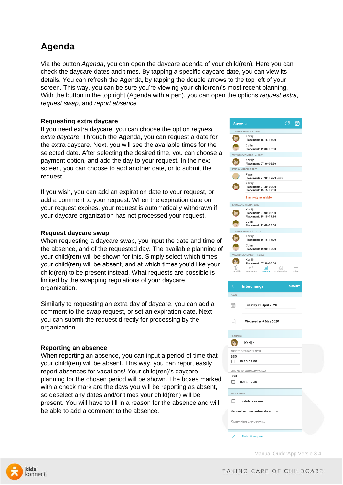# **Agenda**

Via the button *Agenda*, you can open the daycare agenda of your child(ren). Here you can check the daycare dates and times. By tapping a specific daycare date, you can view its details. You can refresh the Agenda, by tapping the double arrows to the top left of your screen. This way, you can be sure you're viewing your child(ren)'s most recent planning. With the button in the top right (Agenda with a pen), you can open the options *request extra, request swap,* and *report absence*

### **Requesting extra daycare**

If you need extra daycare, you can choose the option *request extra daycare.* Through the Agenda, you can request a date for the extra daycare. Next, you will see the available times for the selected date. After selecting the desired time, you can choose a payment option, and add the day to your request. In the next screen, you can choose to add another date, or to submit the request.

If you wish, you can add an expiration date to your request, or add a comment to your request. When the expiration date on your request expires, your request is automatically withdrawn if your daycare organization has not processed your request.

### **Request daycare swap**

When requesting a daycare swap, you input the date and time of the absence, and of the requested day. The available planning of your child(ren) will be shown for this. Simply select which times your child(ren) will be absent, and at which times you'd like your child(ren) to be present instead. What requests are possible is limited by the swapping regulations of your daycare organization.

Similarly to requesting an extra day of daycare, you can add a comment to the swap request, or set an expiration date. Next you can submit the request directly for processing by the organization.

### **Reporting an absence**

When reporting an absence, you can input a period of time that your child(ren) will be absent. This way, you can report easily report absences for vacations! Your child(ren)'s daycare planning for the chosen period will be shown. The boxes marked with a check mark are the days you will be reporting as absent, so deselect any dates and/or times your child(ren) will be present. You will have to fill in a reason for the absence and will be able to add a comment to the absence.



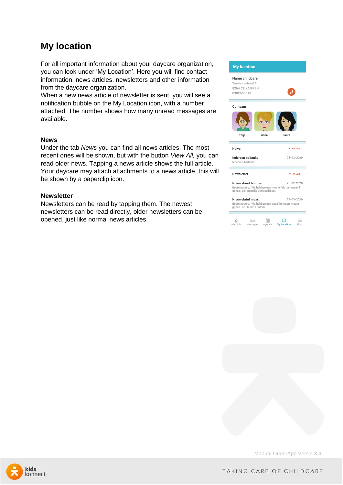# **My location**

For all important information about your daycare organization, you can look under 'My Location'. Here you will find contact information, news articles, newsletters and other information from the daycare organization.

When a new news article of newsletter is sent, you will see a notification bubble on the My Location icon, with a number attached. The number shows how many unread messages are available.

#### **News**

Under the tab *News* you can find all news articles. The most recent ones will be shown, but with the button *View All,* you can read older news. Tapping a news article shows the full article. Your daycare may attach attachments to a news article, this will be shown by a paperclip icon.

#### **Newsletter**

Newsletters can be read by tapping them. The newest newsletters can be read directly, older newsletters can be opened, just like normal news articles.